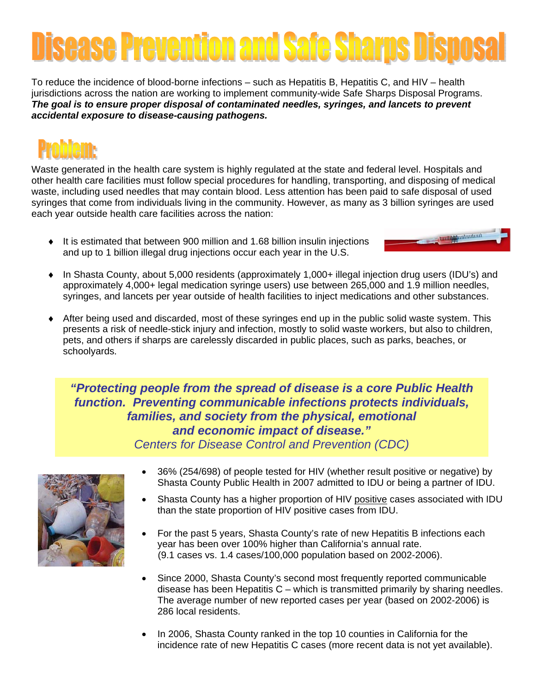## ease Prevention and Safe Sharps Dispo

To reduce the incidence of blood-borne infections – such as Hepatitis B, Hepatitis C, and HIV – health jurisdictions across the nation are working to implement community-wide Safe Sharps Disposal Programs. *The goal is to ensure proper disposal of contaminated needles, syringes, and lancets to prevent accidental exposure to disease-causing pathogens.* 

Waste generated in the health care system is highly regulated at the state and federal level. Hospitals and other health care facilities must follow special procedures for handling, transporting, and disposing of medical waste, including used needles that may contain blood. Less attention has been paid to safe disposal of used syringes that come from individuals living in the community. However, as many as 3 billion syringes are used each year outside health care facilities across the nation:

♦ It is estimated that between 900 million and 1.68 billion insulin injections and up to 1 billion illegal drug injections occur each year in the U.S.



- ♦ In Shasta County, about 5,000 residents (approximately 1,000+ illegal injection drug users (IDU's) and approximately 4,000+ legal medication syringe users) use between 265,000 and 1.9 million needles, syringes, and lancets per year outside of health facilities to inject medications and other substances.
- After being used and discarded, most of these syringes end up in the public solid waste system. This presents a risk of needle-stick injury and infection, mostly to solid waste workers, but also to children, pets, and others if sharps are carelessly discarded in public places, such as parks, beaches, or schoolyards.

*"Protecting people from the spread of disease is a core Public Health function. Preventing communicable infections protects individuals, families, and society from the physical, emotional and economic impact of disease."* 

*Centers for Disease Control and Prevention (CDC)* 



- 36% (254/698) of people tested for HIV (whether result positive or negative) by Shasta County Public Health in 2007 admitted to IDU or being a partner of IDU.
- Shasta County has a higher proportion of HIV positive cases associated with IDU than the state proportion of HIV positive cases from IDU.
- For the past 5 years, Shasta County's rate of new Hepatitis B infections each year has been over 100% higher than California's annual rate. (9.1 cases vs. 1.4 cases/100,000 population based on 2002-2006).
- Since 2000, Shasta County's second most frequently reported communicable disease has been Hepatitis  $C -$  which is transmitted primarily by sharing needles. The average number of new reported cases per year (based on 2002-2006) is 286 local residents.
- In 2006, Shasta County ranked in the top 10 counties in California for the incidence rate of new Hepatitis C cases (more recent data is not yet available).